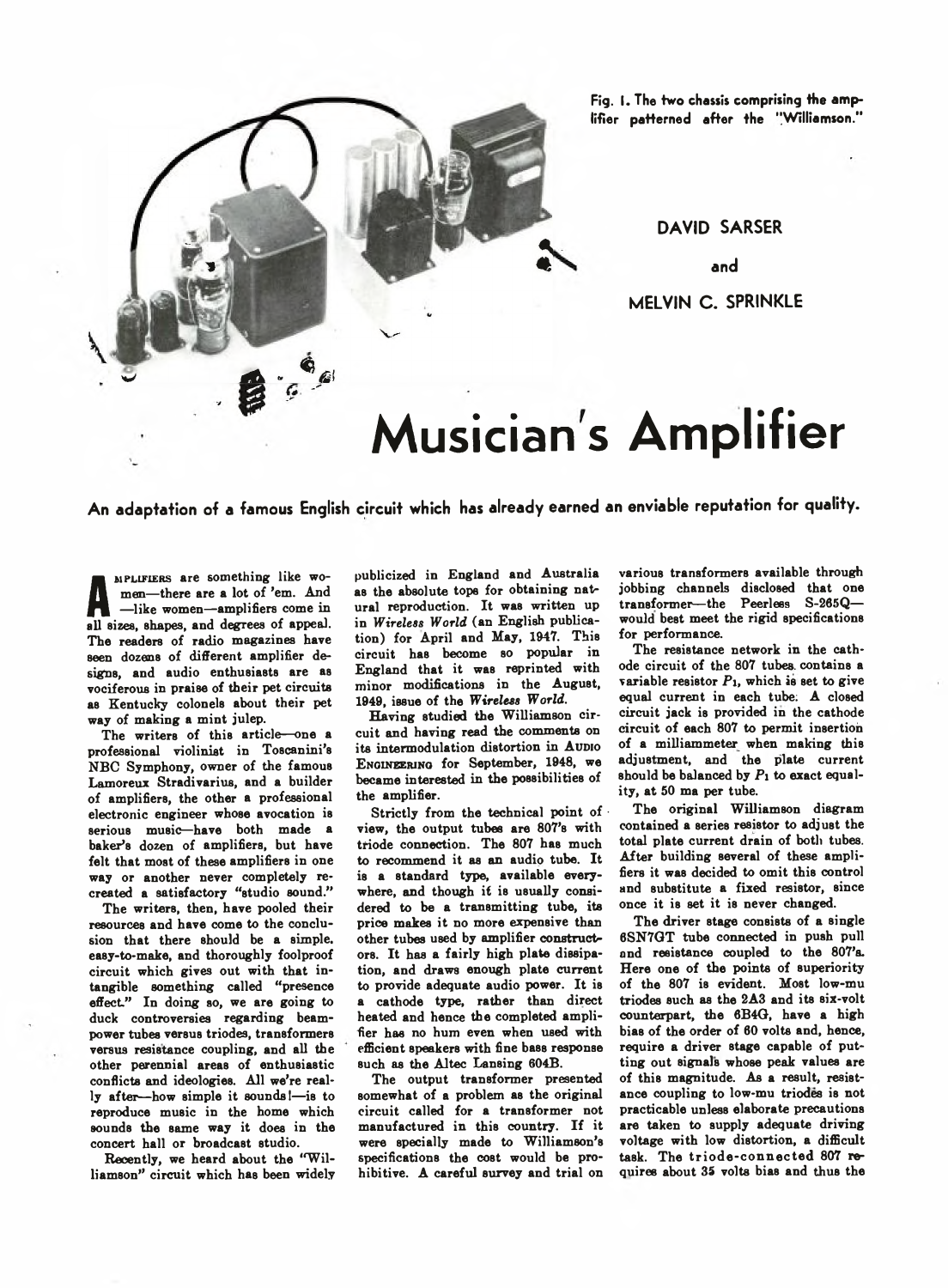

**Fig. I. The two chassis comprising the amplifier patterned after the "Williamson."**

**DAVID SARSER**

**and**

**MELVIN C . SPRINKLE**

# **Musician s Amplifier**

**An adaptation of a famous English circuit which has already earned an enviable reputation for quality.**

The women-amplifiers come in<br>all sizes, shapes, and degrees of appeal. MPLIFIERS are something like women— there are a lot of 'em. And —like women— amplifiers come in The readers of radio magazines have seen dozens of different amplifier designs, and audio enthusiasts are as vociferous in praise of their pet circuits as Kentucky colonels about their pet way of making a mint julep.

The writers of this article— one a professional violinist in Toscanini's NBC Symphony, owner of the famous Lamoreux Stradivarius, and a builder of amplifiers, the other a professional electronic engineer whose avocation is serious music—have both made a baker's dozen of amplifiers, but have felt that most of these amplifiers in one way or another never completely recreated a satisfactory "studio sound."

The writers, then, have pooled their resources and have come to the conclusion that there should be a simple, easy-to-make, and thoroughly foolproof circuit which gives out with that intangible something called "presence effect" In doing so, we are going to duck controversies regarding beampower tubes versus triodes, transformers versus resistance coupling, and all the other perennial areas of enthusiastic conflicts and ideologies. All we're really after— how simple it sounds!— is to reproduce music in the home which sounds the same way it does in the concert hall or broadcast studio.

Recently, we heard about the "Williamson" circuit which has been widely publicized in England and Australia as the absolute tope for obtaining natural reproduction. It was written up in *Wireless World* (an English publication) for April and May, 1947. This circuit has become so popular in England that it was reprinted with minor modifications in the August, 1949, issue of the *Wireless World.*

Having studied the Williamson circuit and having read the comments on its intermodulation distortion in AUDIO ENGINEERING for September, 1948, we became interested in the possibilities of the amplifier.

Strictly from the technical point of  $\cdot$ view, the output tubes are 807's with triode connection. The 807 has much to recommend it as an audio tube. It is a standard type, available everywhere, and though it is usually considered to be a transmitting tube, its price makes it no more expensive than other tubes used by amplifier constructors. It has a fairly high plate dissipation, and draws enough plate current to provide adequate audio power. It is a cathode type, rather than direct heated and hence the completed amplifier has no hum even when used with efficient speakers with fine bass response such as the Altec Lansing 604B.

The output transformer presented somewhat of a problem as the original circuit called for a transformer not manufactured in this country. If it were specially made to Williamson's specifications the cost would be prohibitive. A careful survey and trial on

various transformers available through jobbing channels disclosed that one transformer— the Peerless S-265Q would best meet the rigid specifications for performance.

The resistance network in the cathode circuit of the 807 tubes, contains a variable resistor  $P_1$ , which is set to give equal current in each tube: A closed circuit jack is provided in the cathode circuit of each 807 to permit insertion of a milliammeter when making this adjustment, and the plate current should be balanced by *Pi* to exact equality, at SO ma per tube.

The original Williamson diagram contained a series resistor to adjust the total plate current drain of both tubes. After building several of these amplifiers it was decided to omit this control and substitute a fixed resistor, since once it is set it is never changed.

The driver stage consists of a single 6SN7GT tube connected in push pull and resistance coupled to the 807's. Here one of the points of superiority of the 807 is evident. Most low-mu triodes such as the 2A3 and its six-volt counterpart, the 6B4G, have a high bias of the order of 60 volts and, hence, require a driver stage capable of putting out signals whose peak values are of this magnitude. As a result, resistance coupling to low-mu triodes is not practicable unless elaborate precautions are taken to supply adequate driving voltage with low distortion, a difficult task. The triode-connected 807 requires about 35 volts bias and thus the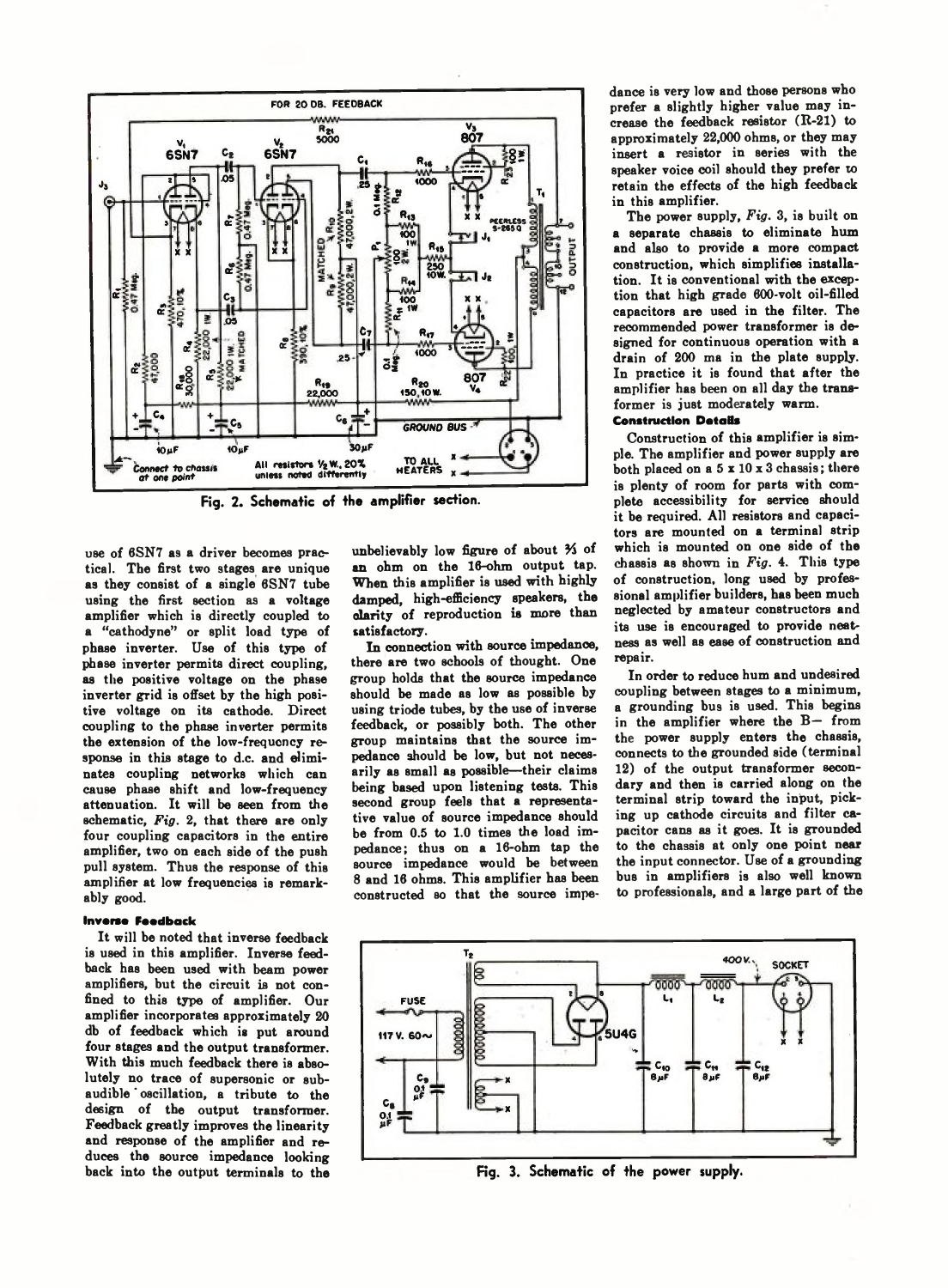

**Fig. 2. Schematic of the amplifier section.**

use of 6SN7 as a driver becomes practical. The first two stages are unique as they consist of a single 6SN7 tube using the first section as a voltage amplifier which is directly coupled to a " cathodyne" or split load type of phase inverter. Use of this type of phase inverter permits direct coupling, as the positive voltage on the phase inverter grid is offset by the high positive voltage on its cathode. Direct coupling to the phase inverter permits the extension of the low-frequency response in this stage to d.c. and eliminates coupling networks which can cause phase shift and low-frequency attenuation. It will be seen from the schematic, *Fig.* 2, that there are only four coupling capacitors in the entire amplifier, two on each side of the push pull system. Thus the response of this amplifier at low frequencies is remarkably good.

# **Inverse Feedback**

It will be noted that inverse feedback is used in this amplifier. Inverse feedback has been used with beam power amplifiers, but the circuit is not confined to this type of amplifier. Our amplifier incorporates approximately 20 db of feedback which is put around four stages and the output transformer. With this much feedback there is absolutely no trace of supersonic or subaudible oscillation, a tribute to the design of the output transformer. Feedback greatly improves the linearity and response of the amplifier and reduces the source impedance looking back into the output terminals to the unbelievably low figure of about *Yi* of an ohm on the 16-ohm output tap. When this amplifier is used with highly damped, high-efficiency speakers, the clarity of reproduction is more than satisfactory.

In connection with source impedance, there are two schools of thought. One group holds that the source impedance should be made as low as possible by using triode tubes, by the use of inverse feedback, or possibly both. The other group maintains that the source impedance should be low, but not necesarily as small as possible—their claims being based upon listening tests. This second group feels that a representative value of source impedance should be from 0.5 to 1.0 times the load impedance; thus on a 16-ohm tap the source impedance would be between 8 and 16 ohms. This amplifier has been constructed so that the source impedance is very low and those persons who prefer a slightly higher value may increase the feedback resistor (R-21) to approximately 22,000 ohms, or they may insert a resistor in series with the speaker voice coil should they prefer to retain the effects of the high feedback in this amplifier.

The power supply, *Fig.* 3, is built on a separate chassis to eliminate hum and also to provide a more compact construction, which simplifies installation. It is conventional with the exception that high grade 600-volt oil-filled capacitors are used in the filter. The recommended power transformer is designed for continuous operation with a drain of 200 ma in the plate supply. In practice it is found that after the amplifier has been on all day the transformer is just moderately warm.

### **Construction DotaBs**

Construction of this amplifier is simple. The amplifier and power supply are both placed on a 5 x 10 x 3 chassis; there is plenty of room for parts with complete accessibility for service should it be required. All resistors and capacitors are mounted on a terminal strip which is mounted on one side of the chassis as shown in *Fig.* 4. This type of construction, long used by professional amplifier builders, has been much neglected by amateur constructors and its use is encouraged to provide neatness as well as ease of construction and repair.

In order to reduce hum and undesired coupling between stages to a minimum, a grounding bus is used. This begins in the amplifier where the  $B-$  from the power supply enters the chassis, connects to the grounded side (terminal 12) of the output transformer secondary and then is carried along on the terminal strip toward the input, picking up cathode circuits and filter capacitor cans as it goes. It is grounded to the chassis at only one point near the input connector. Use of a grounding bus in amplifiers is also well known to professionals, and a large part of the



Fig. 3. Schematic of the power supply.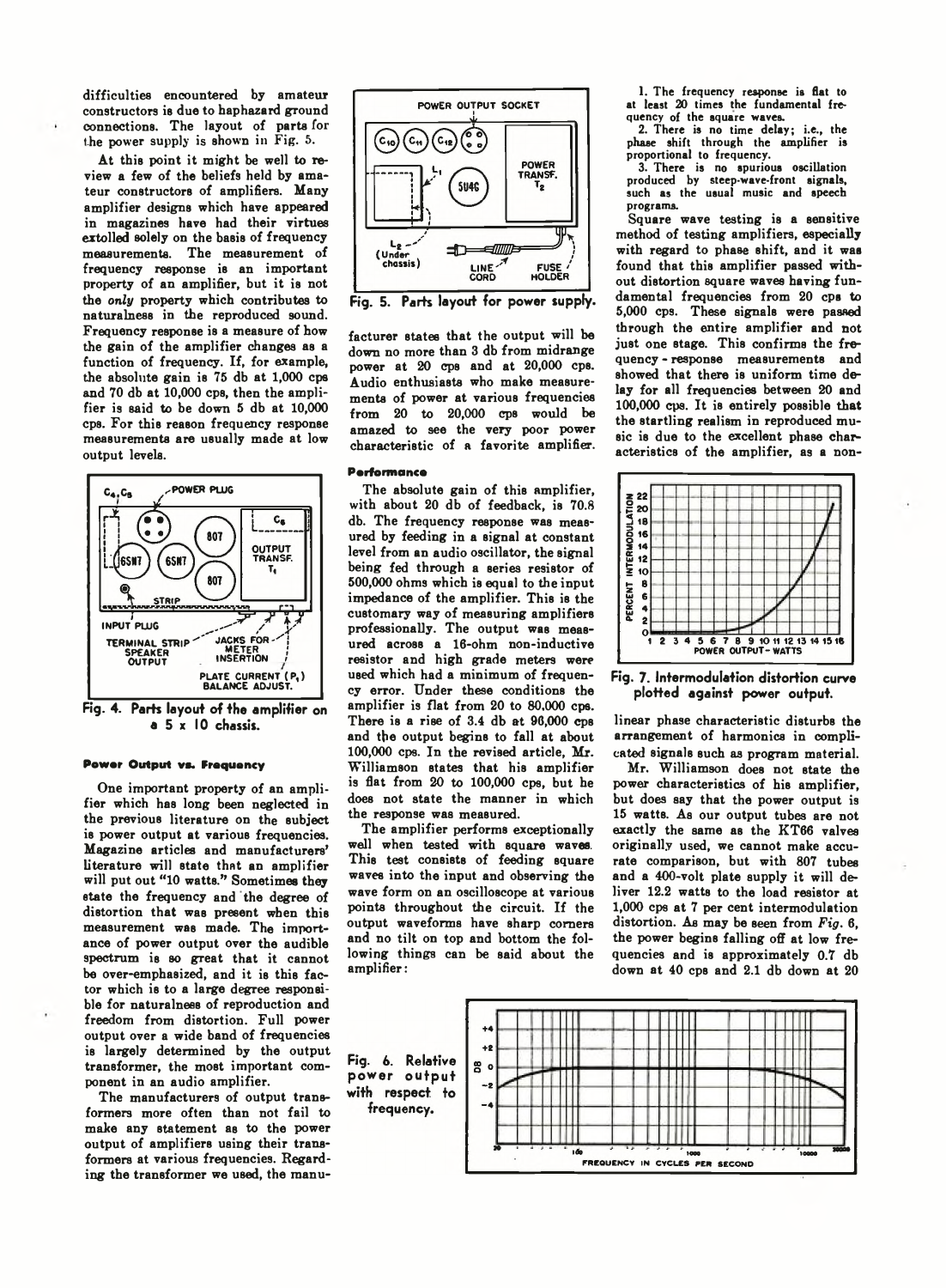difficulties encountered by amateur constructors is due to haphazard ground connections. The layout of parts for the power supply is shown in Fig. 5.

At this point it might be well to review a few of the beliefs held by amateur constructors of amplifiers. Many amplifier designs which have appeared in magazines have had their virtues extolled solely on the basis of frequency measurements. The measurement of frequency response is an important property of an amplifier, but it is not the *only* property which contributes to naturalness in the reproduced sound. Frequency response is a measure of how the gain of the amplifier changes as a function of frequency. If, for example, the absolute gain is 75 db at 1,000 cps and 70 db at 10,000 cps, then the amplifier is said to be down 5 db at 10,000 cps. For this reason frequency response measurements are usually made at low output levels.



**Fig. 4. Parts layout of the amplifier on a 5 x 10 chassis.**

#### **Power Output vs. Frequency**

One important property of an amplifier which has long been neglected in the previous literature on the subject is power output at various frequencies. Magazine articles and manufacturers' literature will state that an amplifier will put out "10 watts." Sometimes they state the frequency and the degree of distortion that was present when this measurement was made. The importance of power output over the audible spectrum is so great that it cannot be over-emphasized, and it is this factor which is to a large degree responsible for naturalness of reproduction and freedom from distortion. Full power output over a wide band of frequencies is largely determined by the output transformer, the most important component in an audio amplifier.

The manufacturers of output transformers more often than not fail to make any statement as to the power output of amplifiers using their transformers at various frequencies. Regarding the transformer we used, the manu-



**Fig. 5. Parts layout for power supply.**

facturer states that the output will be down no more than 3 db from midrange power at 20 cps and at 20,000 cps. Audio enthusiasts who make measurements of power at various frequencies from 20 to 20,000 cps would be amazed to see the very poor power characteristic of a favorite amplifier.

#### **Performance**

The absolute gain of this amplifier, with about 20 db of feedback, is 70.8 db. The frequency response was measured by feeding in a signal at constant level from an audio oscillator, the signal being fed through a series resistor of 500.000 ohms which is equal to the input impedance of the amplifier. This is the customary way of measuring amplifiers professionally. The output was measured across a 16-ohm non-inductive resistor and high grade meters were used which had a minimum of frequency error. Under these conditions the amplifier is flat from 20 to 80,000 cps. There is a rise of 3.4 db at 96,000 cps and the output begins to fall at about 100.000 cps. In the revised article, Mr. Williamson states that his amplifier is flat from 20 to 100,000 cps, but he does not state the manner in which the response was measured.

The amplifier performs exceptionally well when tested with square waves. This test consists of feeding square waves into the input and observing the wave form on an oscilloscope at various points throughout the circuit. If the output waveforms have sharp comers and no tilt on top and bottom the following things can be said about the amplifier:

1. The frequency response is flat to at least 20 times the fundamental frequency of the square waves.

2. There is no time delay; i.e., the phase shift through the amplifier is proportional to frequency.

3. There is no spurious oscillation produced by steep-wave-front signals, such as the usual music and speech programs.

Square wave testing is a sensitive method of testing amplifiers, especially with regard to phase shift, and it was found that this amplifier passed without distortion square waves having fundamental frequencies from 20 cps to 5.000 cps. These signals were passed through the entire amplifier and not just one stage. This confirms the frequency - response measurements and showed that there is uniform time delay for all frequencies between 20 and 100.000 cps. It is entirely possible that the startling realism in reproduced music is due to the excellent phase characteristics of the amplifier, as a non-



**Fig. 7. Intermodula+ion distortion curve plotted against power output.**

linear phase characteristic disturbs the arrangement of harmonics in complicated signals such as program material.

Mr. Williamson does not state the power characteristics of his amplifier, but does say that the power output is 15 watts. As our output tubes are not exactly the same as the KT66 valves originally used, we cannot make accurate comparison, but with 807 tubes and a 400-volt plate supply it will deliver 12.2 watts to the load resistor at 1,000 cps at 7 per cent intermodulation distortion. As may be seen from *Fig.* 6, the power begins falling off at low frequencies and is approximately 0.7 db down at 40 cps and 2.1 db down at 20

Fig. 6. Relative power output with respect to frequency.